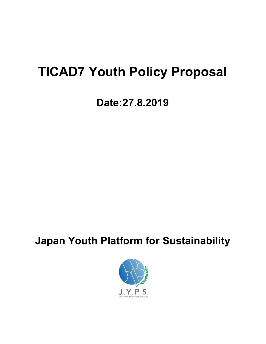# **TICAD7 Youth Policy Proposal**

# **Date:27.8.2019**

## **Japan Youth Platform for Sustainability**

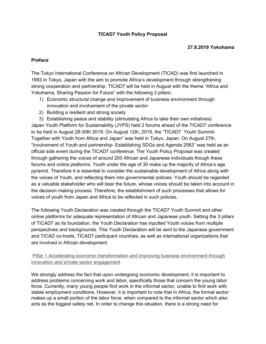### **TICAD7 Youth Policy Proposal**

#### **27.8.2019 Yokohama**

#### **Preface**

The Tokyo International Conference on African Development (TICAD) was first launched in 1993 in Tokyo, Japan with the aim to promote Africa's development through strengthening strong cooperation and partnership. TICAD7 will be held in August with the theme "Africa and Yokohama, Sharing Passion for Future" with the following 3 pillars:

- 1) Economic structural change and improvement of business environment through innovation and involvement of the private sector
- 2) Building a resilient and strong society
- 3) Establishing peace and stability (stimulating Africa to take their own initiatives)

Japan Youth Platform for Sustainability (JYPS) held 2 forums ahead of the TICAD7 conference to be held in August 28-30th 2019. On August 12th, 2019, the "TICAD7 Youth Summit-Together with Youth from Africa and Japan" was held in Tokyo, Japan. On August 27th, "Involvement of Youth and partnership- Establishing SDGs and Agenda 2063" was held as an official side event during the TICAD7 conference. The Youth Policy Proposal was created through gathering the voices of around 200 African and Japanese individuals though these forums and online platforms. Youth under the age of 30 make up the majority of Africa's age pyramid. Therefore it is essential to consider the sustainable development of Africa along with the voices of Youth, and reflecting them into governmental policies. Youth should be regarded as a valuable stakeholder who will bear the future, whose voices should be taken into account in the decision making process. Therefore, the establishment of such processes that allows for voices of youth from Japan and Africa to be reflected in such policies.

The following Youth Declaration was created through the TICAD7 Youth Summit and other online platforms for adequate representation of African and Japanese youth. Setting the 3 pillars of TICAD7 as its foundation, the Youth Declaration has inputted Youth voices from multiple perspectives and backgrounds. This Youth Declaration will be sent to the Japanese government and TICAD co-hosts, TICAD7 participant countries, as well as international organizations that are involved in African development.

### Pillar 1 Accelerating economic transformation and improving business environment through innovation and private sector engagement

We strongly address the fact that upon undergoing economic development, it is important to address problems concerning work and labor, specifically those that concern the young labor force. Currently, many young people find work in the informal sector, unable to find work with stable employment conditions. However, it is important to note that in Africa, the formal sector makes up a small portion of the labor force, when compared to the informal sector which also acts as the biggest safety net. In order to change this situation, there is a strong need for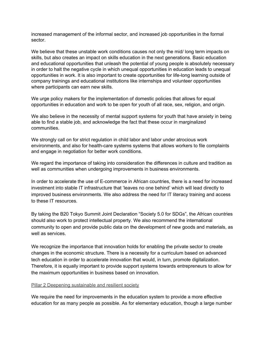increased management of the informal sector, and increased job opportunities in the formal sector.

We believe that these unstable work conditions causes not only the mid/long term impacts on skills, but also creates an impact on skills education in the next generations. Basic education and educational opportunities that unleash the potential of young people is absolutely necessary in order to halt the negative cycle in which unequal opportunities in education leads to unequal opportunities in work. It is also important to create opportunities for life-long learning outside of company trainings and educational institutions like internships and volunteer opportunities where participants can earn new skills.

We urge policy makers for the implementation of domestic policies that allows for equal opportunities in education and work to be open for youth of all race, sex, religion, and origin.

We also believe in the necessity of mental support systems for youth that have anxiety in being able to find a stable job, and acknowledge the fact that these occur in marginalized communities.

We strongly call on for strict regulation in child labor and labor under atrocious work environments, and also for health-care systems systems that allows workers to file complaints and engage in negotiation for better work conditions.

We regard the importance of taking into consideration the differences in culture and tradition as well as communities when undergoing improvements in business environments.

In order to accelerate the use of E-commerce in African countries, there is a need for increased investment into stable IT infrastructure that 'leaves no one behind' which will lead directly to improved business environments. We also address the need for IT literacy training and access to these IT resources.

By taking the B20 Tokyo Summit Joint Declaration "Society 5.0 for SDGs", the African countries should also work to protect intellectual property. We also recommend the international community to open and provide public data on the development of new goods and materials, as well as services.

We recognize the importance that innovation holds for enabling the private sector to create changes in the economic structure. There is a necessity for a curriculum based on advanced tech education in order to accelerate innovation that would, in turn, promote digitalization. Therefore, it is equally important to provide support systems towards entrepreneurs to allow for the maximum opportunities in business based on innovation.

#### Pillar 2 Deepening sustainable and resilient society

We require the need for improvements in the education system to provide a more effective education for as many people as possible. As for elementary education, though a large number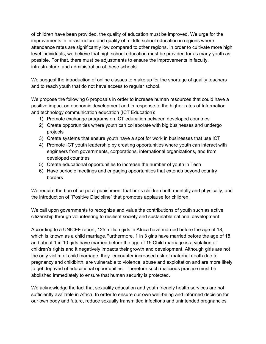of children have been provided, the quality of education must be improved. We urge for the improvements in infrastructure and quality of middle school education in regions where attendance rates are significantly low compared to other regions. In order to cultivate more high level individuals, we believe that high school education must be provided for as many youth as possible. For that, there must be adjustments to ensure the improvements in faculty, infrastructure, and administration of these schools.

We suggest the introduction of online classes to make up for the shortage of quality teachers and to reach youth that do not have access to regular school.

We propose the following 6 proposals in order to increase human resources that could have a positive impact on economic development and in response to the higher rates of Information and technology communication education (ICT Education):

- 1) Promote exchange programs on ICT education between developed countries
- 2) Create opportunities where youth can collaborate with big businesses and undergo projects
- 3) Create systems that ensure youth have a spot for work in businesses that use ICT
- 4) Promote ICT youth leadership by creating opportunities where youth can interact with engineers from governments, corporations, international organizations, and from developed countries
- 5) Create educational opportunities to increase the number of youth in Tech
- 6) Have periodic meetings and engaging opportunities that extends beyond country borders

We require the ban of corporal punishment that hurts children both mentally and physically, and the introduction of "Positive Discipline" that promotes applause for children.

We call upon governments to recognize and value the contributions of youth such as active citizenship through volunteering to resilient society and sustainable national development.

According to a UNICEF report, 125 million girls in Africa have married before the age of 18, which is known as a child marriage. Furthermore, 1 in 3 girls have married before the age of 18, and about 1 in 10 girls have married before the age of 15.Child marriage is a violation of children's rights and it negatively impacts their growth and development. Although girls are not the only victim of child marriage, they encounter increased risk of maternal death due to pregnancy and childbirth, are vulnerable to violence, abuse and exploitation and are more likely to get deprived of educational opportunities. Therefore such malicious practice must be abolished immediately to ensure that human security is protected.

We acknowledge the fact that sexuality education and youth friendly health services are not sufficiently available in Africa. In order to ensure our own well-being and informed decision for our own body and future, reduce sexually transmitted infections and unintended pregnancies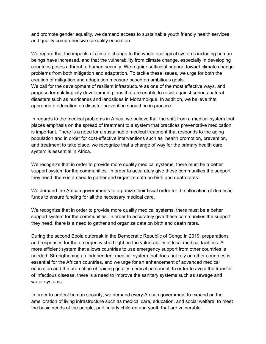and promote gender equality, we demand access to sustainable youth friendly health services and quality comprehensive sexuality education.

We regard that the impacts of climate change to the whole ecological systems including human beings have increased, and that the vulnerability from climate change, especially in developing countries poses a threat to human security. We require sufficient support toward climate change problems from both mitigation and adaptation. To tackle these issues, we urge for both the creation of mitigation and adaptation measure based on ambitious goals. We call for the development of resilient infrastructure as one of the most effective ways, and propose formulating city development plans that are enable to resist against serious natural disasters such as hurricanes and landslides in Mozambique. In addition, we believe that appropriate education on disaster prevention should be in practice.

In regards to the medical problems in Africa, we believe that the shift from a medical system that places emphasis on the spread of treatment to a system that practices preventative medication is important. There is a need for a sustainable medical treatment that responds to the aging population and in order for cost-effective interventions such as health promotion, prevention, and treatment to take place, we recognize that a change of way for the primary health care system is essential in Africa.

We recognize that in order to provide more quality medical systems, there must be a better support system for the communities. In order to accurately give these communities the support they need, there is a need to gather and organize data on birth and death rates.

We demand the African governments to organize their fiscal order for the allocation of domestic funds to ensure funding for all the necessary medical care.

We recognize that in order to provide more quality medical systems, there must be a better support system for the communities. In order to accurately give these communities the support they need, there is a need to gather and organize data on birth and death rates.

During the second Ebola outbreak in the Democratic Republic of Congo in 2019, preparations and responses for the emergency shed light on the vulnerability of local medical facilities. A more efficient system that allows countries to use emergency support from other countries is needed. Strengthening an independent medical system that does not rely on other countries is essential for the African countries, and we urge for an enhancement of advanced medical education and the promotion of training quality medical personnel. In order to avoid the transfer of infectious disease, there is a need to improve the sanitary systems such as sewage and water systems.

In order to protect human security, we demand every African government to expand on the amelioration of living infrastructure such as medical care, education, and social welfare, to meet the basic needs of the people, particularly children and youth that are vulnerable.